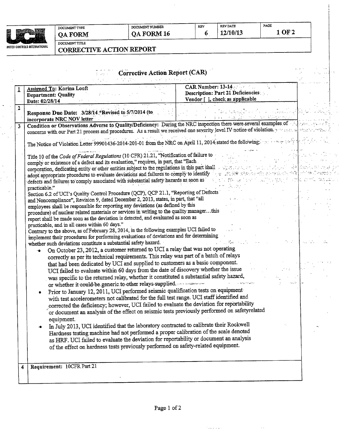| INITED CONTROLS INTERNATIONAL |
|-------------------------------|

 $\ddot{\phantom{a}}$ 

 $\frac{1}{\sqrt{2}}$ 

## DOCUMENT TYPE **QA FORM**

| DOCUMENT NUMBER |  |
|-----------------|--|
| QA FORM 16      |  |

**REV DATE** 

 $6<sub>1</sub>$ 

 $1$  OF 2

DOCUMENT TITLE **CORRECTIVE ACTION REPORT** 

|                | <b>Corrective Action Report (CAR)</b>                                                                                                                                       |                                                                                           |  |
|----------------|-----------------------------------------------------------------------------------------------------------------------------------------------------------------------------|-------------------------------------------------------------------------------------------|--|
|                | Assigned To: Korina Looft<br><b>Department: Quality</b><br>Date: 02/28/14                                                                                                   | CAR Number: 13-14<br>Description: Part 21 Deficiencies<br>Vendor [ ], check as applicable |  |
| $\overline{2}$ | Response Due Date: 3/28/14 *Revised to 5/7/2014 (to<br>incorporate NRC NOV letter                                                                                           |                                                                                           |  |
| 3              | Condition or Observations Adverse to Quality/Deficiency: During the NRC inspection there were several examples of                                                           |                                                                                           |  |
|                | concerns with our Part 21 process and procedures. As a result we received one severity level IV notice of violation.                                                        |                                                                                           |  |
|                | The Notice of Violation Letter 99901436-2014-201-01 from the NRC on April 11, 2014 stated the following.                                                                    |                                                                                           |  |
|                | Title 10 of the Code of Federal Regulations (10 CFR) 21.21, "Notification of failure to                                                                                     |                                                                                           |  |
|                | comply or existence of a defect and its evaluation," requires, in part, that "Each                                                                                          |                                                                                           |  |
|                | corporation, dedicating entity or other entities subject to the regulations in this part shall                                                                              |                                                                                           |  |
|                | adopt appropriate procedures to evaluate deviations and failures to comply to identify                                                                                      | BAR KAKSING SALAH MELA                                                                    |  |
|                | defects and failures to comply associated with substantial safety hazards as soon as                                                                                        | $\sim 10^{11}$ m $^{-1}$<br>$\sim 10^{11}$                                                |  |
|                | practicable."                                                                                                                                                               |                                                                                           |  |
|                | Section 6.2 of UCI's Quality Control Procedure (QCP), QCP 21.1, "Reporting of Defects<br>and Noncompliance", Revision 9, dated December 2, 2013, states, in part, that "all |                                                                                           |  |
|                | employees shall be responsible for reporting any deviations (as defined by this                                                                                             |                                                                                           |  |
|                | procedure) of nuclear related materials or services in writing to the quality managerthis                                                                                   |                                                                                           |  |
|                | report shall be made soon as the deviation is detected, and evaluated as soon as                                                                                            |                                                                                           |  |
|                | practicable, and in all cases within 60 days."                                                                                                                              |                                                                                           |  |
|                | Contrary to the above, as of February 28, 2014, in the following examples UCI failed to                                                                                     |                                                                                           |  |
|                | implement their procedures for performing evaluations of deviations and for determining                                                                                     |                                                                                           |  |
|                | whether such deviations constitute a substantial safety hazard.<br>On October 23, 2012, a customer returned to UCI a relay that was not operating                           |                                                                                           |  |
|                | correctly as per its technical requirements. This relay was part of a batch of relays                                                                                       |                                                                                           |  |
|                | that had been dedicated by UCI and supplied to customers as a basic component.                                                                                              |                                                                                           |  |
|                | UCI failed to evaluate within 60 days from the date of discovery whether the issue                                                                                          |                                                                                           |  |
|                | was specific to the returned relay, whether it constituted a substantial safety hazard,                                                                                     |                                                                                           |  |
|                | or whether it could be generic to other relays supplied.                                                                                                                    | what have                                                                                 |  |
|                | Prior to January 12, 2011, UCI performed seismic qualification tests on equipment                                                                                           |                                                                                           |  |
|                | with test accelerometers not calibrated for the full test range. UCI staff identified and                                                                                   |                                                                                           |  |
|                | corrected the deficiency; however, UCI failed to evaluate the deviation for reportability                                                                                   |                                                                                           |  |
|                | or document an analysis of the effect on seismic tests previously performed on safetyrelated                                                                                |                                                                                           |  |
|                | equipment.                                                                                                                                                                  |                                                                                           |  |
|                | In July 2013, UCI identified that the laboratory contracted to calibrate their Rockwell                                                                                     |                                                                                           |  |
|                |                                                                                                                                                                             |                                                                                           |  |
|                |                                                                                                                                                                             |                                                                                           |  |
|                | Hardness testing machine had not performed a proper calibration of the scale denoted                                                                                        |                                                                                           |  |
|                | as HRF. UCI failed to evaluate the deviation for reportability or document an analysis                                                                                      |                                                                                           |  |
|                | of the effect on hardness tests previously performed on safety-related equipment.                                                                                           |                                                                                           |  |
|                |                                                                                                                                                                             |                                                                                           |  |
| -4             | Requirement: 10CFR Part 21                                                                                                                                                  |                                                                                           |  |

الكالاستنكار